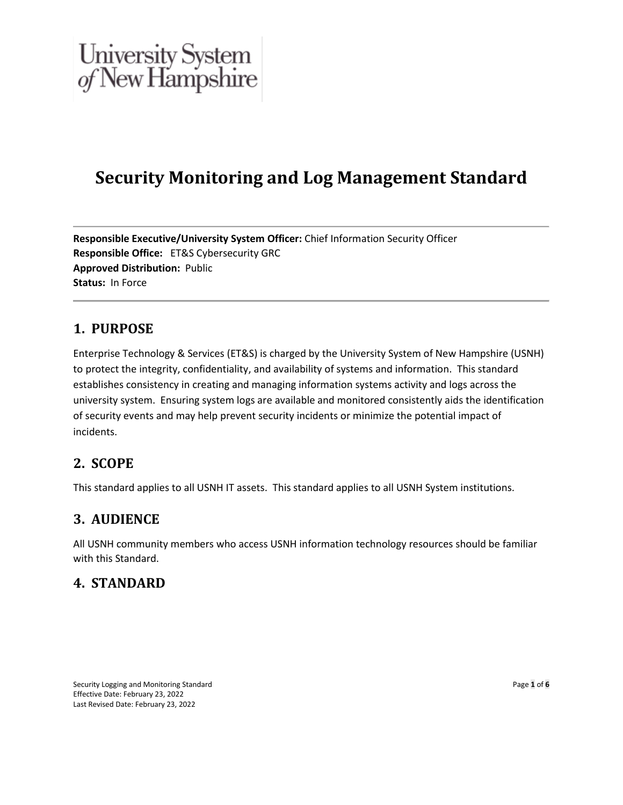## **Security Monitoring and Log Management Standard**

**Responsible Executive/University System Officer:** Chief Information Security Officer **Responsible Office:** ET&S Cybersecurity GRC **Approved Distribution:** Public **Status:** In Force

## **1. PURPOSE**

Enterprise Technology & Services (ET&S) is charged by the University System of New Hampshire (USNH) to protect the integrity, confidentiality, and availability of systems and information. This standard establishes consistency in creating and managing information systems activity and logs across the university system. Ensuring system logs are available and monitored consistently aids the identification of security events and may help prevent security incidents or minimize the potential impact of incidents.

### **2. SCOPE**

This standard applies to all USNH IT assets. This standard applies to all USNH System institutions.

### **3. AUDIENCE**

All USNH community members who access USNH information technology resources should be familiar with this Standard.

### **4. STANDARD**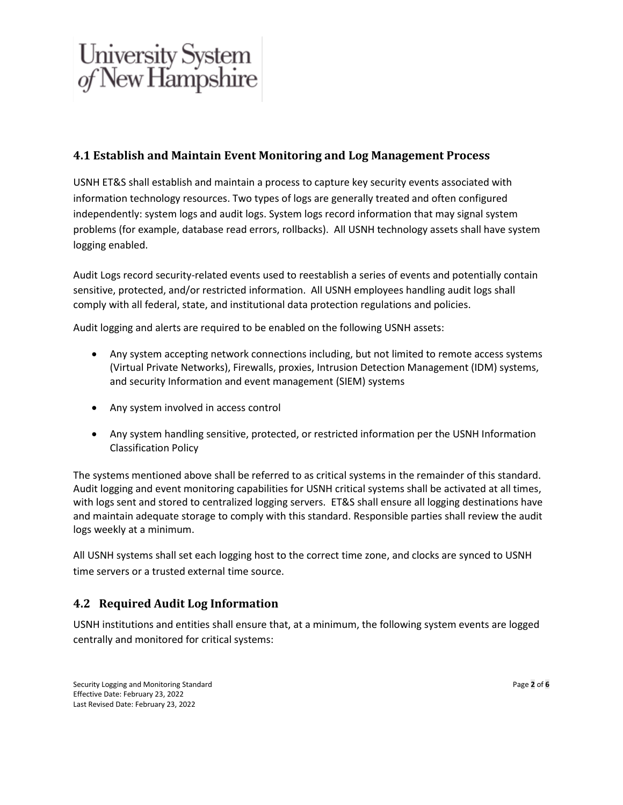### **4.1 Establish and Maintain Event Monitoring and Log Management Process**

USNH ET&S shall establish and maintain a process to capture key security events associated with information technology resources. Two types of logs are generally treated and often configured independently: system logs and audit logs. System logs record information that may signal system problems (for example, database read errors, rollbacks). All USNH technology assets shall have system logging enabled.

Audit Logs record security-related events used to reestablish a series of events and potentially contain sensitive, protected, and/or restricted information. All USNH employees handling audit logs shall comply with all federal, state, and institutional data protection regulations and policies.

Audit logging and alerts are required to be enabled on the following USNH assets:

- Any system accepting network connections including, but not limited to remote access systems (Virtual Private Networks), Firewalls, proxies, Intrusion Detection Management (IDM) systems, and security Information and event management (SIEM) systems
- Any system involved in access control
- Any system handling sensitive, protected, or restricted information per the USNH Information Classification Policy

The systems mentioned above shall be referred to as critical systems in the remainder of this standard. Audit logging and event monitoring capabilities for USNH critical systems shall be activated at all times, with logs sent and stored to centralized logging servers. ET&S shall ensure all logging destinations have and maintain adequate storage to comply with this standard. Responsible parties shall review the audit logs weekly at a minimum.

All USNH systems shall set each logging host to the correct time zone, and clocks are synced to USNH time servers or a trusted external time source.

#### **4.2 Required Audit Log Information**

USNH institutions and entities shall ensure that, at a minimum, the following system events are logged centrally and monitored for critical systems: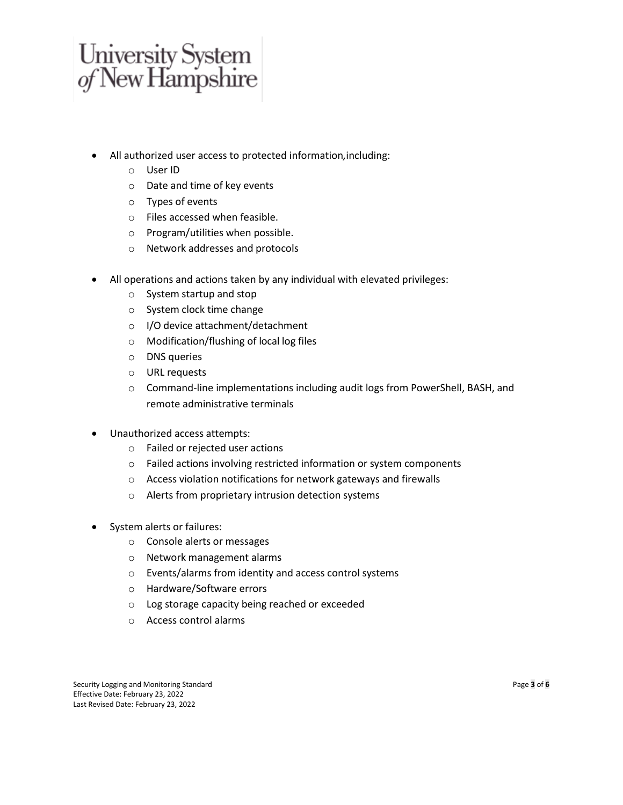- All authorized user access to protected information*,*including:
	- o User ID
	- o Date and time of key events
	- o Types of events
	- o Files accessed when feasible.
	- o Program/utilities when possible.
	- o Network addresses and protocols
- All operations and actions taken by any individual with elevated privileges:
	- o System startup and stop
	- o System clock time change
	- o I/O device attachment/detachment
	- o Modification/flushing of local log files
	- o DNS queries
	- o URL requests
	- $\circ$  Command-line implementations including audit logs from PowerShell, BASH, and remote administrative terminals
- Unauthorized access attempts:
	- o Failed or rejected user actions
	- o Failed actions involving restricted information or system components
	- o Access violation notifications for network gateways and firewalls
	- o Alerts from proprietary intrusion detection systems
- System alerts or failures:
	- o Console alerts or messages
	- o Network management alarms
	- o Events/alarms from identity and access control systems
	- o Hardware/Software errors
	- o Log storage capacity being reached or exceeded
	- o Access control alarms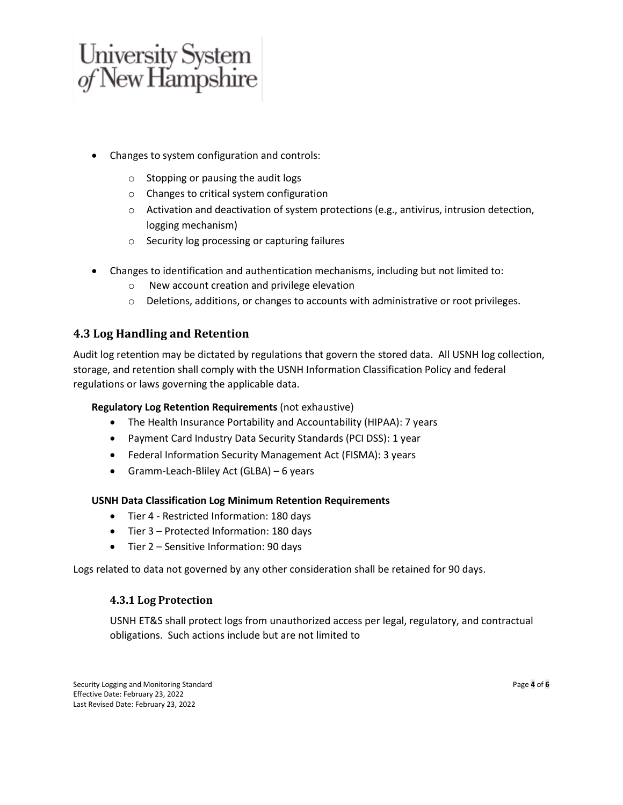- Changes to system configuration and controls:
	- o Stopping or pausing the audit logs
	- o Changes to critical system configuration
	- o Activation and deactivation of system protections (e.g., antivirus, intrusion detection, logging mechanism)
	- o Security log processing or capturing failures
- Changes to identification and authentication mechanisms, including but not limited to:
	- o New account creation and privilege elevation
	- o Deletions, additions, or changes to accounts with administrative or root privileges.

#### **4.3 Log Handling and Retention**

Audit log retention may be dictated by regulations that govern the stored data. All USNH log collection, storage, and retention shall comply with the USNH Information Classification Policy and federal regulations or laws governing the applicable data.

#### **Regulatory Log Retention Requirements** (not exhaustive)

- The Health Insurance Portability and Accountability (HIPAA): 7 years
- Payment Card Industry Data Security Standards (PCI DSS): 1 year
- Federal Information Security Management Act (FISMA): 3 years
- Gramm-Leach-Bliley Act (GLBA) 6 years

#### **USNH Data Classification Log Minimum Retention Requirements**

- Tier 4 Restricted Information: 180 days
- Tier 3 Protected Information: 180 days
- Tier 2 Sensitive Information: 90 days

Logs related to data not governed by any other consideration shall be retained for 90 days.

#### **4.3.1 Log Protection**

USNH ET&S shall protect logs from unauthorized access per legal, regulatory, and contractual obligations. Such actions include but are not limited to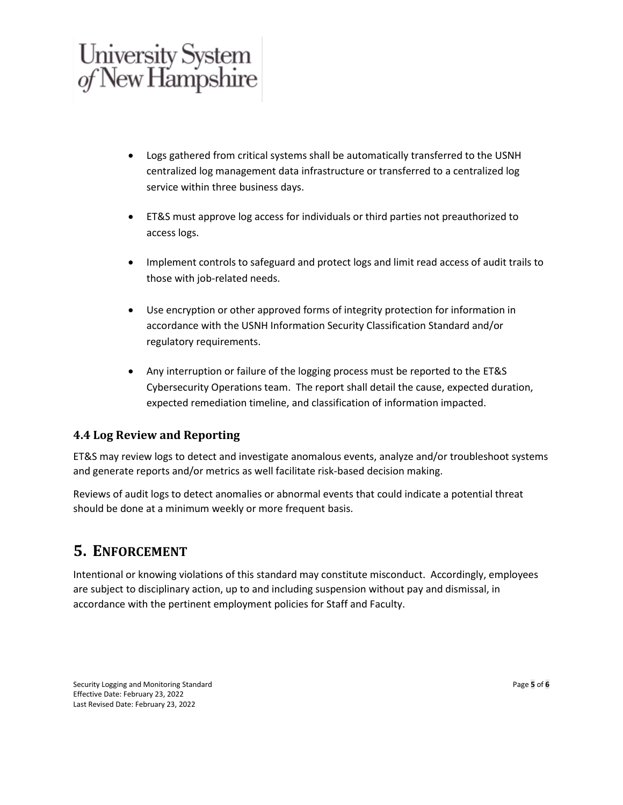- Logs gathered from critical systems shall be automatically transferred to the USNH centralized log management data infrastructure or transferred to a centralized log service within three business days.
- ET&S must approve log access for individuals or third parties not preauthorized to access logs.
- Implement controls to safeguard and protect logs and limit read access of audit trails to those with job-related needs.
- Use encryption or other approved forms of integrity protection for information in accordance with the USNH Information Security Classification Standard and/or regulatory requirements.
- Any interruption or failure of the logging process must be reported to the ET&S Cybersecurity Operations team. The report shall detail the cause, expected duration, expected remediation timeline, and classification of information impacted.

### **4.4 Log Review and Reporting**

ET&S may review logs to detect and investigate anomalous events, analyze and/or troubleshoot systems and generate reports and/or metrics as well facilitate risk-based decision making.

Reviews of audit logs to detect anomalies or abnormal events that could indicate a potential threat should be done at a minimum weekly or more frequent basis.

## **5. ENFORCEMENT**

Intentional or knowing violations of this standard may constitute misconduct. Accordingly, employees are subject to disciplinary action, up to and including suspension without pay and dismissal, in accordance with the pertinent employment policies for Staff and Faculty.